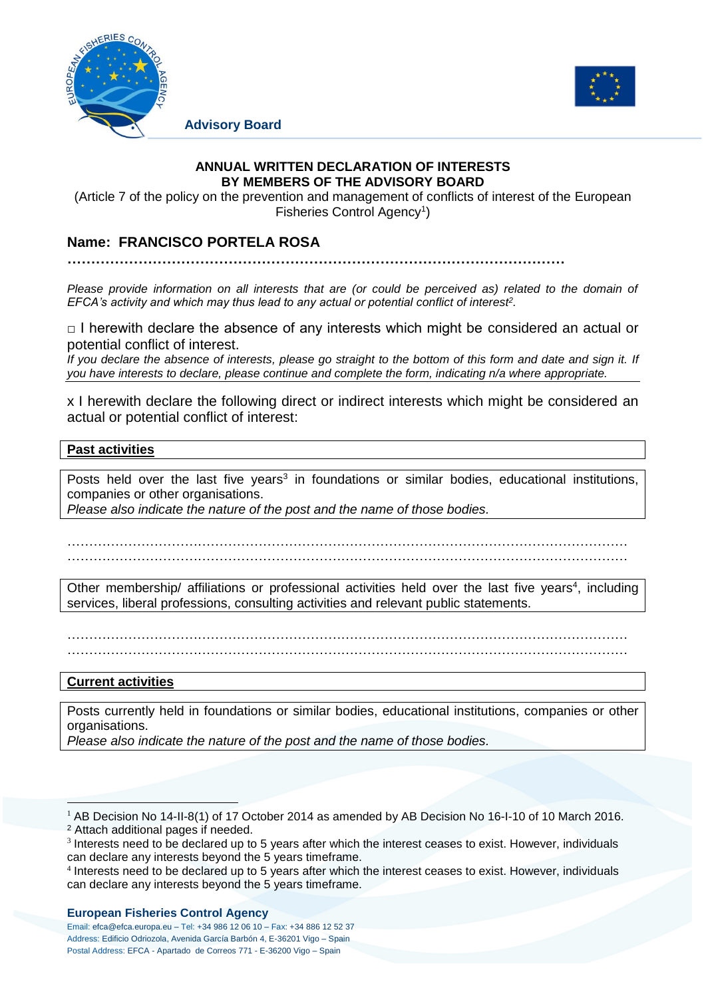

**Advisory Board**



### **ANNUAL WRITTEN DECLARATION OF INTERESTS BY MEMBERS OF THE ADVISORY BOARD**

(Article 7 of the policy on the prevention and management of conflicts of interest of the European Fisheries Control Agency<sup>1</sup>)

# **Name: FRANCISCO PORTELA ROSA**

**……………………………………………………………………………………………**

*Please provide information on all interests that are (or could be perceived as) related to the domain of EFCA's activity and which may thus lead to any actual or potential conflict of interest<sup>2</sup> .*

 $\Box$  I herewith declare the absence of any interests which might be considered an actual or potential conflict of interest.

*If you declare the absence of interests, please go straight to the bottom of this form and date and sign it. If you have interests to declare, please continue and complete the form, indicating n/a where appropriate.*

x I herewith declare the following direct or indirect interests which might be considered an actual or potential conflict of interest:

### **Past activities**

Posts held over the last five years<sup>3</sup> in foundations or similar bodies, educational institutions, companies or other organisations.

*Please also indicate the nature of the post and the name of those bodies.*

………………………………………………………………………………………………………………… …………………………………………………………………………………………………………………

Other membership/ affiliations or professional activities held over the last five years<sup>4</sup>, including services, liberal professions, consulting activities and relevant public statements.

………………………………………………………………………………………………………………… …………………………………………………………………………………………………………………

## **Current activities**

1

Posts currently held in foundations or similar bodies, educational institutions, companies or other organisations.

*Please also indicate the nature of the post and the name of those bodies.*

#### **European Fisheries Control Agency**

Email: efca@efca.europa.eu – Tel: +34 986 12 06 10 – Fax: +34 886 12 52 37 Address: Edificio Odriozola, Avenida García Barbón 4, E-36201 Vigo – Spain Postal Address: EFCA - Apartado de Correos 771 - E-36200 Vigo – Spain

<sup>&</sup>lt;sup>1</sup> AB Decision No 14-II-8(1) of 17 October 2014 as amended by AB Decision No 16-I-10 of 10 March 2016. <sup>2</sup> Attach additional pages if needed.

<sup>&</sup>lt;sup>3</sup> Interests need to be declared up to 5 years after which the interest ceases to exist. However, individuals can declare any interests beyond the 5 years timeframe.

<sup>4</sup> Interests need to be declared up to 5 years after which the interest ceases to exist. However, individuals can declare any interests beyond the 5 years timeframe.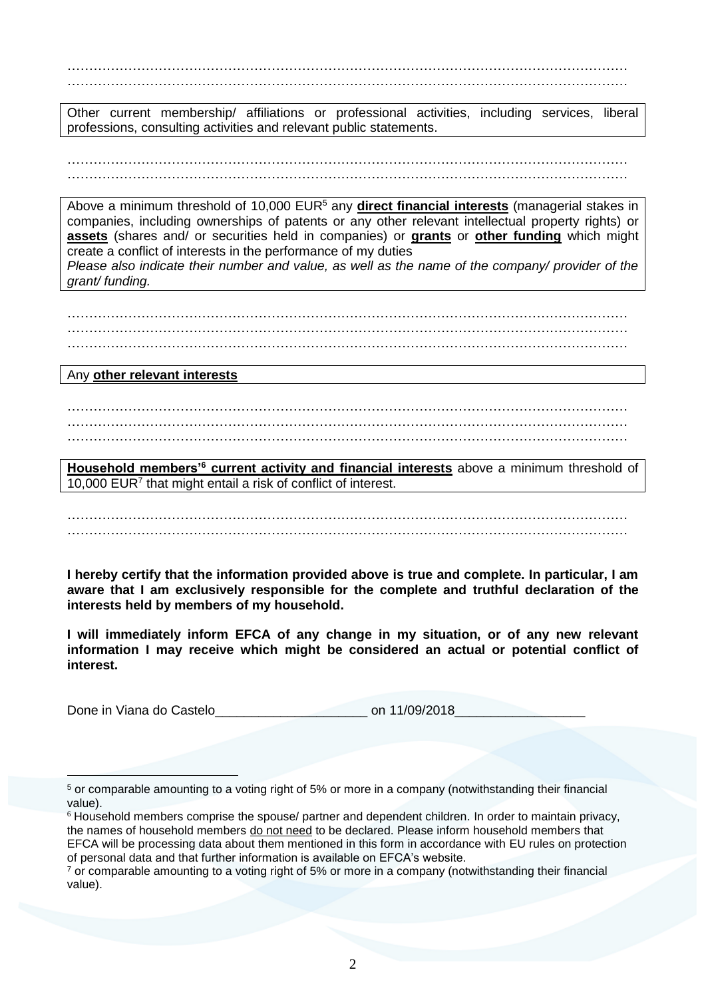………………………………………………………………………………………………………………… …………………………………………………………………………………………………………………

Other current membership/ affiliations or professional activities, including services, liberal professions, consulting activities and relevant public statements.

………………………………………………………………………………………………………………… …………………………………………………………………………………………………………………

Above a minimum threshold of 10,000 EUR<sup>5</sup> any **direct financial interests** (managerial stakes in companies, including ownerships of patents or any other relevant intellectual property rights) or **assets** (shares and/ or securities held in companies) or **grants** or **other funding** which might create a conflict of interests in the performance of my duties *Please also indicate their number and value, as well as the name of the company/ provider of the* 

………………………………………………………………………………………………………………… ………………………………………………………………………………………………………………… …………………………………………………………………………………………………………………

Any **other relevant interests**

*grant/ funding.*

-

………………………………………………………………………………………………………………… ………………………………………………………………………………………………………………… …………………………………………………………………………………………………………………

**Household members'<sup>6</sup> current activity and financial interests** above a minimum threshold of 10,000 EUR<sup>7</sup> that might entail a risk of conflict of interest.

………………………………………………………………………………………………………………… …………………………………………………………………………………………………………………

**I hereby certify that the information provided above is true and complete. In particular, I am aware that I am exclusively responsible for the complete and truthful declaration of the interests held by members of my household.** 

**I will immediately inform EFCA of any change in my situation, or of any new relevant information I may receive which might be considered an actual or potential conflict of interest.**

Done in Viana do Castelo<br>
Done in Viana do Castelo

<sup>5</sup> or comparable amounting to a voting right of 5% or more in a company (notwithstanding their financial value).

<sup>6</sup> Household members comprise the spouse/ partner and dependent children. In order to maintain privacy, the names of household members do not need to be declared. Please inform household members that EFCA will be processing data about them mentioned in this form in accordance with EU rules on protection of personal data and that further information is available on EFCA's website.

 $<sup>7</sup>$  or comparable amounting to a voting right of 5% or more in a company (notwithstanding their financial</sup> value).